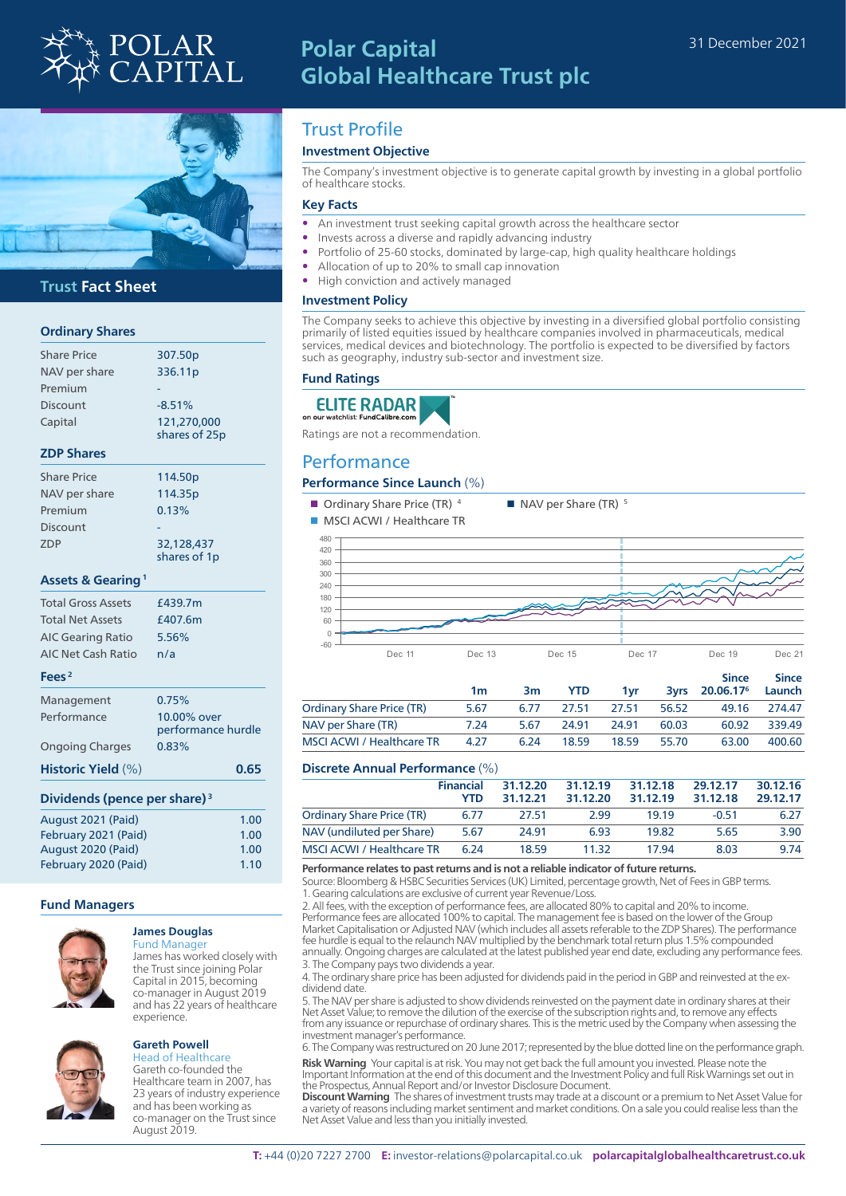

# **Polar Capital Global Healthcare Trust plc**



## **Trust Fact Sheet**

## **Ordinary Shares**

| <b>Share Price</b>                       | 307.50p            |
|------------------------------------------|--------------------|
| NAV per share                            | 336.11p            |
| Premium                                  |                    |
| <b>Discount</b>                          | $-8.51%$           |
| Capital                                  | 121,270,000        |
|                                          | shares of 25p      |
| <b>ZDP Shares</b>                        |                    |
| <b>Share Price</b>                       | 114.50p            |
| NAV per share                            | 114.35p            |
| Premium                                  | 0.13%              |
| Discount                                 |                    |
| ZDP                                      | 32,128,437         |
|                                          | shares of 1p       |
| <b>Assets &amp; Gearing</b> <sup>1</sup> |                    |
| <b>Total Gross Assets</b>                | £439.7m            |
| <b>Total Net Assets</b>                  | £407.6m            |
| <b>AIC Gearing Ratio</b>                 | 5.56%              |
| <b>AIC Net Cash Ratio</b>                | n/a                |
| Fees <sup>2</sup>                        |                    |
| Management                               | 0.75%              |
| Performance                              | 10.00% over        |
|                                          | performance hurdle |
| <b>Ongoing Charges</b>                   | 0.83%              |
| Historic Yield (%)                       | 0.65               |
| Dividends (pence per share) <sup>3</sup> |                    |
| August 2021 (Paid)                       | 1.00               |
| February 2021 (Paid)                     | 1.00               |
| August 2020 (Paid)                       | 1.00               |
| February 2020 (Paid)                     | 1.10               |

#### **Fund Managers**



#### **James Douglas** Fund Manager

James has worked closely with the Trust since joining Polar Capital in 2015, becoming co-manager in August 2019 and has 22 years of healthcare experience.



#### **Gareth Powell** Head of Healthcare

Gareth co-founded the Healthcare team in 2007, has 23 years of industry experience and has been working as co-manager on the Trust since August 2019.

## Trust Profile

## **Investment Objective**

The Company's investment objective is to generate capital growth by investing in a global portfolio of healthcare stocks.

### **Key Facts**

- An investment trust seeking capital growth across the healthcare sector
- Invests across a diverse and rapidly advancing industry
- Portfolio of 25-60 stocks, dominated by large-cap, high quality healthcare holdings
- Allocation of up to 20% to small cap innovation
- High conviction and actively managed

## **Investment Policy**

The Company seeks to achieve this objective by investing in a diversified global portfolio consisting primarily of listed equities issued by healthcare companies involved in pharmaceuticals, medical services, medical devices and biotechnology. The portfolio is expected to be diversified by factors such as geography, industry sub-sector and investment size.

## **Fund Ratings**



Ratings are not a recommendation.

## Performance

### **Performance Since Launch** (%)

**n** Ordinary Share Price (TR)  $4$  **n** NAV per Share (TR)  $5$ 



|                                  | 1m   | 3m   | <b>YTD</b> | 1vr   |       | <b>Since</b><br>3yrs 20.06.17 <sup>6</sup> Launch | <b>Since</b> |
|----------------------------------|------|------|------------|-------|-------|---------------------------------------------------|--------------|
| <b>Ordinary Share Price (TR)</b> | 5.67 | 6.77 | 27.51      | 27.51 | 56.52 | 49.16                                             | 274.47       |
| NAV per Share (TR)               | 7.24 | 5.67 | 24.91      | 24.91 | 60.03 | 60.92                                             | 339.49       |
| <b>MSCI ACWI / Healthcare TR</b> | 4.27 | 6.24 | 18.59      | 18.59 | 55.70 | 63.00                                             | 400.60       |

## **Discrete Annual Performance** (%)

|                                  | <b>Financial</b><br><b>YTD</b> | 31.12.20<br>31.12.21 | 31.12.19<br>31.12.20 | 31.12.18<br>31.12.19 | 29.12.17<br>31.12.18 | 30.12.16<br>29.12.17 |
|----------------------------------|--------------------------------|----------------------|----------------------|----------------------|----------------------|----------------------|
| <b>Ordinary Share Price (TR)</b> | 6.77                           | 27.51                | 2.99                 | 19.19                | $-0.51$              | 6.27                 |
| NAV (undiluted per Share)        | 5.67                           | 24.91                | 6.93                 | 19.82                | 5.65                 | 3.90                 |
| <b>MSCI ACWI / Healthcare TR</b> | 6.24                           | 18.59                | 11.32                | 1794                 | 8.03                 | 9.74                 |

## **Performance relates to past returns and is not a reliable indicator of future returns.**

Source: Bloomberg & HSBC Securities Services (UK) Limited, percentage growth, Net of Fees in GBP terms. 1. Gearing calculations are exclusive of current year Revenue/Loss.

2. All fees, with the exception of performance fees, are allocated 80% to capital and 20% to income. Performance fees are allocated 100% to capital. The management fee is based on the lower of the Group Market Capitalisation or Adjusted NAV (which includes all assets referable to the ZDP Shares). The performance fee hurdle is equal to the relaunch NAV multiplied by the benchmark total return plus 1.5% compounded annually. Ongoing charges are calculated at the latest published year end date, excluding any performance fees. 3. The Company pays two dividends a year.

4. The ordinary share price has been adjusted for dividends paid in the period in GBP and reinvested at the exdividend date.

5. The NAV per share is adjusted to show dividends reinvested on the payment date in ordinary shares at their Net Asset Value; to remove the dilution of the exercise of the subscription rights and, to remove any effects from any issuance or repurchase of ordinary shares. This is the metric used by the Company when assessing the investment manager's performance.

6. The Company was restructured on 20 June 2017; represented by the blue dotted line on the performance graph.

**Risk Warning** Your capital is at risk. You may not get back the full amount you invested. Please note the Important Information at the end of this document and the Investment Policy and full Risk Warnings set out in the Prospectus, Annual Report and/or Investor Disclosure Document.

**Discount Warning** The shares of investment trusts may trade at a discount or a premium to Net Asset Value for a variety of reasons including market sentiment and market conditions. On a sale you could realise less than the Net Asset Value and less than you initially invested.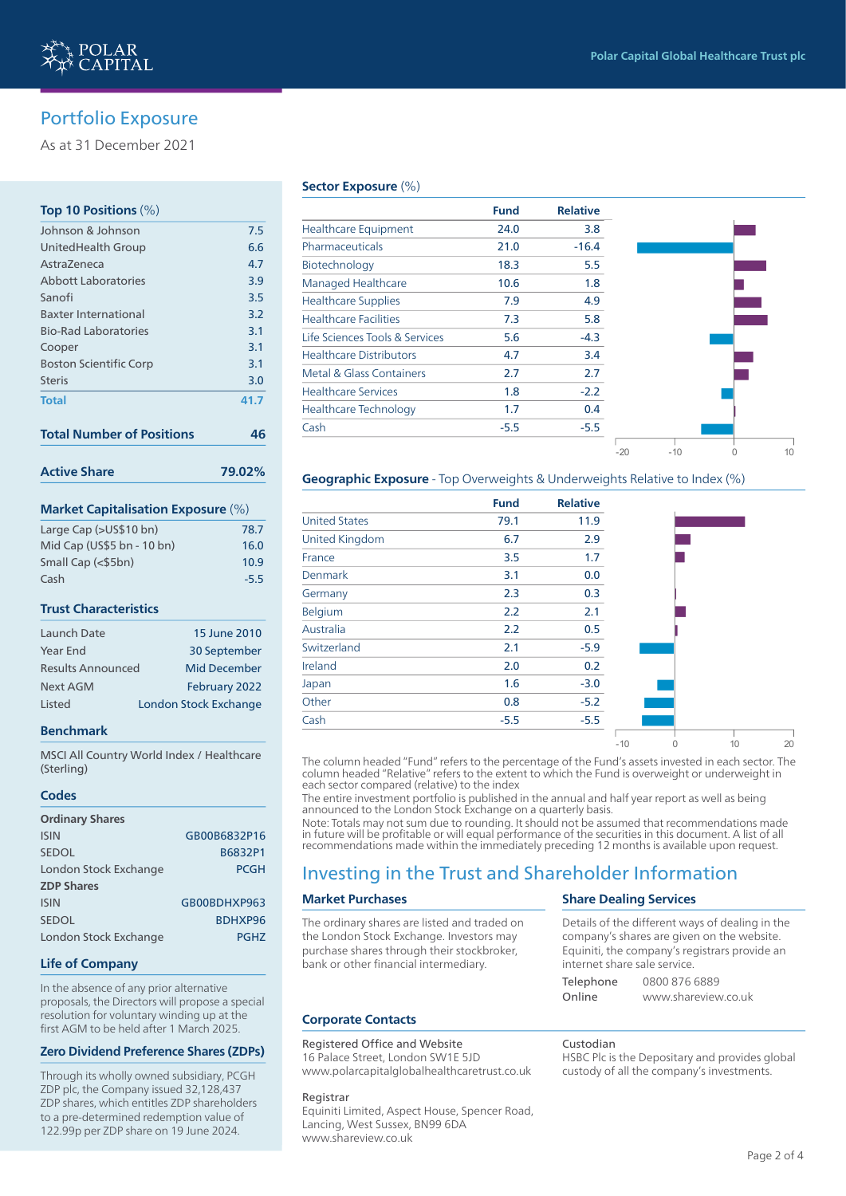## Portfolio Exposure

As at 31 December 2021

## **Top 10 Positions** (%)

| <b>Active Share</b>              | 79.02% |
|----------------------------------|--------|
| <b>Total Number of Positions</b> | 46     |
| <b>Total</b>                     | 41.7   |
| <b>Steris</b>                    | 3.0    |
| <b>Boston Scientific Corp</b>    | 3.1    |
| Cooper                           | 3.1    |
| <b>Bio-Rad Laboratories</b>      | 3.1    |
| <b>Baxter International</b>      | 3.2    |
| Sanofi                           | 3.5    |
| Abbott Laboratories              | 3.9    |
| Astra7eneca                      | 4.7    |
| United Health Group              | 6.6    |
| Johnson & Johnson                | 7.5    |

# **Market Capitalisation Exposure** (%)

| Large Cap (>US\$10 bn)     | 78.7   |
|----------------------------|--------|
| Mid Cap (US\$5 bn - 10 bn) | 16.0   |
| Small Cap (<\$5bn)         | 10.9   |
| Cash                       | $-5.5$ |

### **Trust Characteristics**

| Launch Date              | 15 June 2010          |
|--------------------------|-----------------------|
| <b>Year End</b>          | 30 September          |
| <b>Results Announced</b> | <b>Mid December</b>   |
| Next AGM                 | February 2022         |
| Listed                   | London Stock Exchange |

## **Benchmark**

MSCI All Country World Index / Healthcare (Sterling)

#### **Codes**

| <b>Ordinary Shares</b> |              |
|------------------------|--------------|
| <b>ISIN</b>            | GB00B6832P16 |
| <b>SEDOL</b>           | B6832P1      |
| London Stock Exchange  | <b>PCGH</b>  |
| <b>ZDP Shares</b>      |              |
| <b>ISIN</b>            | GB00BDHXP963 |
| <b>SEDOL</b>           | BDHXP96      |
| London Stock Exchange  | <b>PGHZ</b>  |

#### **Life of Company**

In the absence of any prior alternative proposals, the Directors will propose a special resolution for voluntary winding up at the first AGM to be held after 1 March 2025.

### **Zero Dividend Preference Shares (ZDPs)**

Through its wholly owned subsidiary, PCGH ZDP plc, the Company issued 32,128,437 ZDP shares, which entitles ZDP shareholders to a pre-determined redemption value of 122.99p per ZDP share on 19 June 2024.

### **Sector Exposure** (%)

|                                | <b>Fund</b> | <b>Relative</b> |       |       |  |
|--------------------------------|-------------|-----------------|-------|-------|--|
| <b>Healthcare Equipment</b>    | 24.0        | 3.8             |       |       |  |
| Pharmaceuticals                | 21.0        | $-16.4$         |       |       |  |
| Biotechnology                  | 18.3        | 5.5             |       |       |  |
| <b>Managed Healthcare</b>      | 10.6        | 1.8             |       |       |  |
| <b>Healthcare Supplies</b>     | 7.9         | 4.9             |       |       |  |
| <b>Healthcare Facilities</b>   | 7.3         | 5.8             |       |       |  |
| Life Sciences Tools & Services | 5.6         | $-4.3$          |       |       |  |
| <b>Healthcare Distributors</b> | 4.7         | 3.4             |       |       |  |
| Metal & Glass Containers       | 2.7         | 2.7             |       |       |  |
| <b>Healthcare Services</b>     | 1.8         | $-2.2$          |       |       |  |
| <b>Healthcare Technology</b>   | 1.7         | 0.4             |       |       |  |
| Cash                           | $-5.5$      | $-5.5$          |       |       |  |
|                                |             |                 | $-20$ | $-10$ |  |

## **Geographic Exposure** - Top Overweights & Underweights Relative to Index (%)

|                       | <b>Fund</b> | <b>Relative</b> |       |   |    |    |
|-----------------------|-------------|-----------------|-------|---|----|----|
| <b>United States</b>  | 79.1        | 11.9            |       |   |    |    |
| <b>United Kingdom</b> | 6.7         | 2.9             |       |   |    |    |
| France                | 3.5         | 1.7             |       |   |    |    |
| <b>Denmark</b>        | 3.1         | 0.0             |       |   |    |    |
| Germany               | 2.3         | 0.3             |       |   |    |    |
| Belgium               | 2.2         | 2.1             |       |   |    |    |
| Australia             | 2.2         | 0.5             |       |   |    |    |
| Switzerland           | 2.1         | $-5.9$          |       |   |    |    |
| Ireland               | 2.0         | 0.2             |       |   |    |    |
| Japan                 | 1.6         | $-3.0$          |       |   |    |    |
| Other                 | 0.8         | $-5.2$          |       |   |    |    |
| Cash                  | $-5.5$      | $-5.5$          |       |   |    |    |
|                       |             |                 | $-10$ | 0 | 10 | 20 |

The column headed "Fund" refers to the percentage of the Fund's assets invested in each sector. The column headed "Relative" refers to the extent to which the Fund is overweight or underweight in each sector compared (relative) to the index

The entire investment portfolio is published in the annual and half year report as well as being announced to the London Stock Exchange on a quarterly basis.

Note: Totals may not sum due to rounding. It should not be assumed that recommendations made in future will be profitable or will equal performance of the securities in this document. A list of all recommendations made within the immediately preceding 12 months is available upon request.

## Investing in the Trust and Shareholder Information

## **Market Purchases**

The ordinary shares are listed and traded on the London Stock Exchange. Investors may purchase shares through their stockbroker, bank or other financial intermediary.

## **Share Dealing Services**

|           | Details of the american ways or acamiy in  |               |  |
|-----------|--------------------------------------------|---------------|--|
|           | company's shares are given on the website  |               |  |
|           | Equiniti, the company's registrars provide |               |  |
|           | internet share sale service.               |               |  |
| Telephone |                                            | 0800 876 6889 |  |
|           |                                            |               |  |

### **Corporate Contacts**

## Registered Office and Website

16 Palace Street, London SW1E 5JD www.polarcapitalglobalhealthcaretrust.co.uk

#### Registrar

Equiniti Limited, Aspect House, Spencer Road, Lancing, West Sussex, BN99 6DA www.shareview.co.uk

Details of the different ways of dealing in the

| company's shares are given on the website.    |
|-----------------------------------------------|
| Equiniti, the company's registrars provide an |
| internet share sale service.                  |

| Telephone | 0800 876 6889       |
|-----------|---------------------|
| Online    | www.shareview.co.uk |

### Custodian

HSBC Plc is the Depositary and provides global custody of all the company's investments.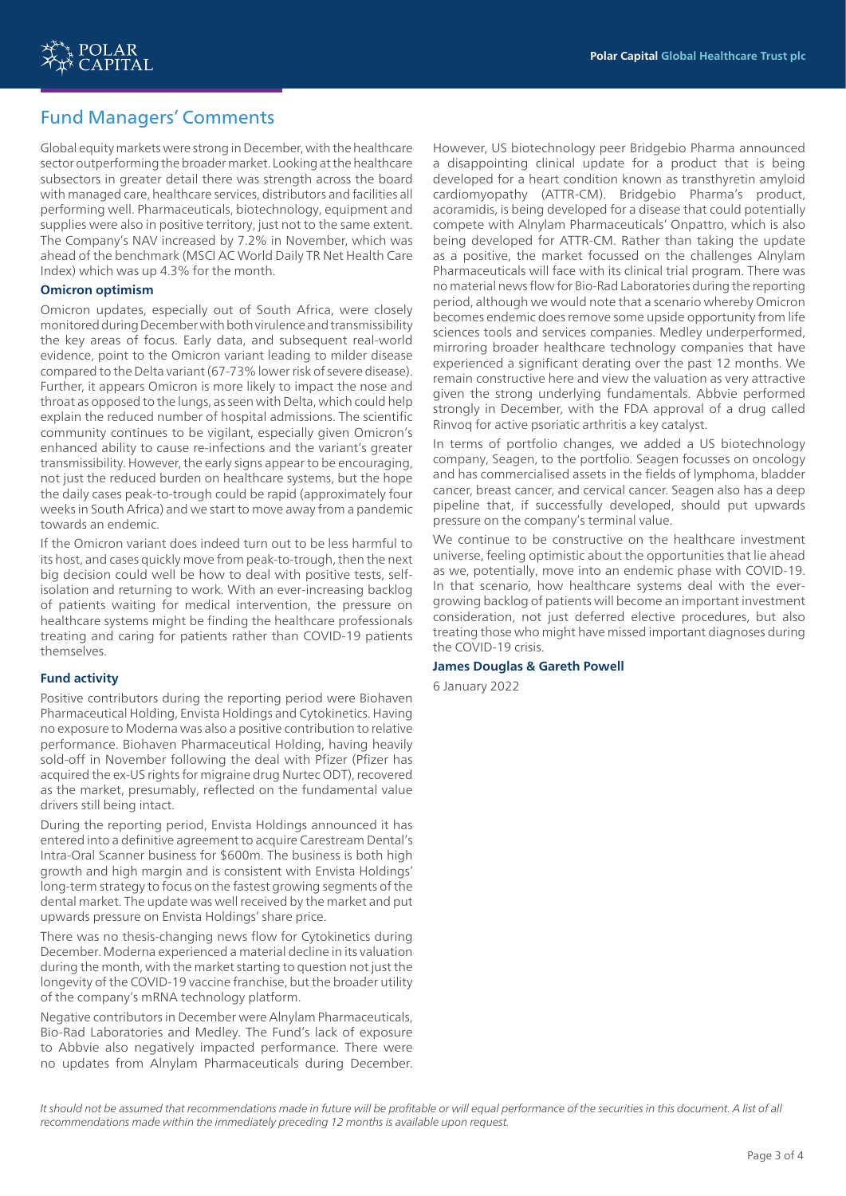

## Fund Managers' Comments

Global equity markets were strong in December, with the healthcare sector outperforming the broader market. Looking at the healthcare subsectors in greater detail there was strength across the board with managed care, healthcare services, distributors and facilities all performing well. Pharmaceuticals, biotechnology, equipment and supplies were also in positive territory, just not to the same extent. The Company's NAV increased by 7.2% in November, which was ahead of the benchmark (MSCI AC World Daily TR Net Health Care Index) which was up 4.3% for the month.

## **Omicron optimism**

Omicron updates, especially out of South Africa, were closely monitored during December with both virulence and transmissibility the key areas of focus. Early data, and subsequent real-world evidence, point to the Omicron variant leading to milder disease compared to the Delta variant (67-73% lower risk of severe disease). Further, it appears Omicron is more likely to impact the nose and throat as opposed to the lungs, as seen with Delta, which could help explain the reduced number of hospital admissions. The scientific community continues to be vigilant, especially given Omicron's enhanced ability to cause re-infections and the variant's greater transmissibility. However, the early signs appear to be encouraging, not just the reduced burden on healthcare systems, but the hope the daily cases peak-to-trough could be rapid (approximately four weeks in South Africa) and we start to move away from a pandemic towards an endemic.

If the Omicron variant does indeed turn out to be less harmful to its host, and cases quickly move from peak-to-trough, then the next big decision could well be how to deal with positive tests, selfisolation and returning to work. With an ever-increasing backlog of patients waiting for medical intervention, the pressure on healthcare systems might be finding the healthcare professionals treating and caring for patients rather than COVID-19 patients themselves.

## **Fund activity**

Positive contributors during the reporting period were Biohaven Pharmaceutical Holding, Envista Holdings and Cytokinetics. Having no exposure to Moderna was also a positive contribution to relative performance. Biohaven Pharmaceutical Holding, having heavily sold-off in November following the deal with Pfizer (Pfizer has acquired the ex-US rights for migraine drug Nurtec ODT), recovered as the market, presumably, reflected on the fundamental value drivers still being intact.

During the reporting period, Envista Holdings announced it has entered into a definitive agreement to acquire Carestream Dental's Intra-Oral Scanner business for \$600m. The business is both high growth and high margin and is consistent with Envista Holdings' long-term strategy to focus on the fastest growing segments of the dental market. The update was well received by the market and put upwards pressure on Envista Holdings' share price.

There was no thesis-changing news flow for Cytokinetics during December. Moderna experienced a material decline in its valuation during the month, with the market starting to question not just the longevity of the COVID-19 vaccine franchise, but the broader utility of the company's mRNA technology platform.

Negative contributors in December were Alnylam Pharmaceuticals, Bio-Rad Laboratories and Medley. The Fund's lack of exposure to Abbvie also negatively impacted performance. There were no updates from Alnylam Pharmaceuticals during December. However, US biotechnology peer Bridgebio Pharma announced a disappointing clinical update for a product that is being developed for a heart condition known as transthyretin amyloid cardiomyopathy (ATTR-CM). Bridgebio Pharma's product, acoramidis, is being developed for a disease that could potentially compete with Alnylam Pharmaceuticals' Onpattro, which is also being developed for ATTR-CM. Rather than taking the update as a positive, the market focussed on the challenges Alnylam Pharmaceuticals will face with its clinical trial program. There was no material news flow for Bio-Rad Laboratories during the reporting period, although we would note that a scenario whereby Omicron becomes endemic does remove some upside opportunity from life sciences tools and services companies. Medley underperformed, mirroring broader healthcare technology companies that have experienced a significant derating over the past 12 months. We remain constructive here and view the valuation as very attractive given the strong underlying fundamentals. Abbvie performed strongly in December, with the FDA approval of a drug called Rinvoq for active psoriatic arthritis a key catalyst.

In terms of portfolio changes, we added a US biotechnology company, Seagen, to the portfolio. Seagen focusses on oncology and has commercialised assets in the fields of lymphoma, bladder cancer, breast cancer, and cervical cancer. Seagen also has a deep pipeline that, if successfully developed, should put upwards pressure on the company's terminal value.

We continue to be constructive on the healthcare investment universe, feeling optimistic about the opportunities that lie ahead as we, potentially, move into an endemic phase with COVID-19. In that scenario, how healthcare systems deal with the evergrowing backlog of patients will become an important investment consideration, not just deferred elective procedures, but also treating those who might have missed important diagnoses during the COVID-19 crisis.

## **James Douglas & Gareth Powell**

6 January 2022

It should not be assumed that recommendations made in future will be profitable or will equal performance of the securities in this document. A list of all *recommendations made within the immediately preceding 12 months is available upon request.*